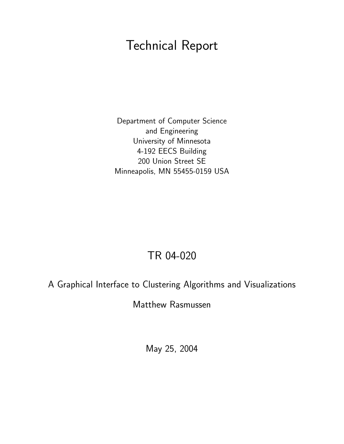# Technical Report

Department of Computer Science and Engineering University of Minnesota 4-192 EECS Building 200 Union Street SE Minneapolis, MN 55455-0159 USA

# TR 04-020

# A Graphical Interface to Clustering Algorithms and Visualizations

Matthew Rasmussen

May 25, 2004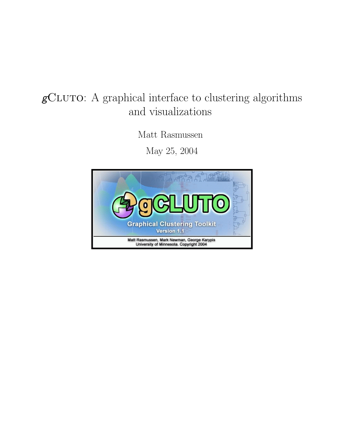# $g\mathrm{CL} \mathrm{U} \mathrm{TO:}$  A graphical interface to clustering algorithms and visualizations

Matt Rasmussen

May 25, 2004

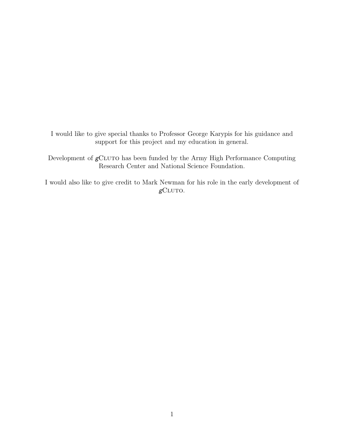I would like to give special thanks to Professor George Karypis for his guidance and support for this project and my education in general.

Development of  $g$ CLUTO has been funded by the Army High Performance Computing Research Center and National Science Foundation.

I would also like to give credit to Mark Newman for his role in the early development of  $g$ CLUTO.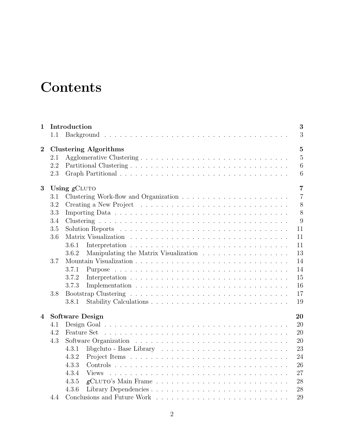# **Contents**

| $\mathbf{1}$   |     | 3<br>Introduction                                                                                 |  |  |  |  |  |  |  |  |  |  |  |  |
|----------------|-----|---------------------------------------------------------------------------------------------------|--|--|--|--|--|--|--|--|--|--|--|--|
|                | 1.1 | 3                                                                                                 |  |  |  |  |  |  |  |  |  |  |  |  |
| $\mathbf{2}$   |     | $\overline{5}$<br><b>Clustering Algorithms</b>                                                    |  |  |  |  |  |  |  |  |  |  |  |  |
|                | 2.1 | $\overline{5}$                                                                                    |  |  |  |  |  |  |  |  |  |  |  |  |
|                | 2.2 | $\overline{6}$                                                                                    |  |  |  |  |  |  |  |  |  |  |  |  |
|                | 2.3 | 6                                                                                                 |  |  |  |  |  |  |  |  |  |  |  |  |
| 3              |     | $\overline{7}$<br>Using $g$ CLUTO                                                                 |  |  |  |  |  |  |  |  |  |  |  |  |
|                | 3.1 | $\overline{7}$                                                                                    |  |  |  |  |  |  |  |  |  |  |  |  |
|                | 3.2 | 8                                                                                                 |  |  |  |  |  |  |  |  |  |  |  |  |
|                | 3.3 | 8                                                                                                 |  |  |  |  |  |  |  |  |  |  |  |  |
|                | 3.4 | 9                                                                                                 |  |  |  |  |  |  |  |  |  |  |  |  |
|                | 3.5 | 11                                                                                                |  |  |  |  |  |  |  |  |  |  |  |  |
|                | 3.6 | 11                                                                                                |  |  |  |  |  |  |  |  |  |  |  |  |
|                |     | 3.6.1<br>11                                                                                       |  |  |  |  |  |  |  |  |  |  |  |  |
|                |     | 13<br>3.6.2                                                                                       |  |  |  |  |  |  |  |  |  |  |  |  |
|                | 3.7 | 14                                                                                                |  |  |  |  |  |  |  |  |  |  |  |  |
|                |     | 14<br>3.7.1                                                                                       |  |  |  |  |  |  |  |  |  |  |  |  |
|                |     | 15<br>3.7.2                                                                                       |  |  |  |  |  |  |  |  |  |  |  |  |
|                |     | 3.7.3<br>16                                                                                       |  |  |  |  |  |  |  |  |  |  |  |  |
|                | 3.8 | 17                                                                                                |  |  |  |  |  |  |  |  |  |  |  |  |
|                |     | 19<br>3.8.1                                                                                       |  |  |  |  |  |  |  |  |  |  |  |  |
|                |     |                                                                                                   |  |  |  |  |  |  |  |  |  |  |  |  |
| $\overline{4}$ |     | <b>Software Design</b><br>20                                                                      |  |  |  |  |  |  |  |  |  |  |  |  |
|                | 4.1 | 20                                                                                                |  |  |  |  |  |  |  |  |  |  |  |  |
|                | 4.2 | 20                                                                                                |  |  |  |  |  |  |  |  |  |  |  |  |
|                | 4.3 | 20                                                                                                |  |  |  |  |  |  |  |  |  |  |  |  |
|                |     | 23<br>4.3.1<br>libgcluto - Base Library $\ldots \ldots \ldots \ldots \ldots \ldots \ldots \ldots$ |  |  |  |  |  |  |  |  |  |  |  |  |
|                |     | 24<br>4.3.2                                                                                       |  |  |  |  |  |  |  |  |  |  |  |  |
|                |     | 4.3.3<br>26                                                                                       |  |  |  |  |  |  |  |  |  |  |  |  |
|                |     | 27<br>4.3.4<br><b>Views</b>                                                                       |  |  |  |  |  |  |  |  |  |  |  |  |
|                |     | 28<br>4.3.5                                                                                       |  |  |  |  |  |  |  |  |  |  |  |  |
|                |     | 4.3.6<br>28                                                                                       |  |  |  |  |  |  |  |  |  |  |  |  |
|                | 4.4 | 29                                                                                                |  |  |  |  |  |  |  |  |  |  |  |  |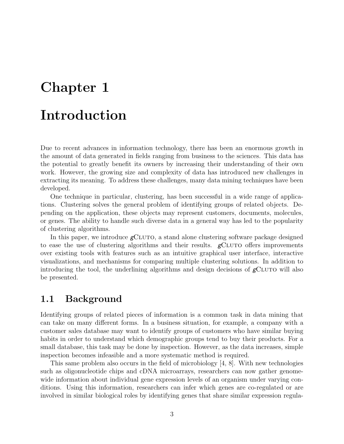# Chapter 1

# Introduction

Due to recent advances in information technology, there has been an enormous growth in the amount of data generated in fields ranging from business to the sciences. This data has the potential to greatly benefit its owners by increasing their understanding of their own work. However, the growing size and complexity of data has introduced new challenges in extracting its meaning. To address these challenges, many data mining techniques have been developed.

One technique in particular, clustering, has been successful in a wide range of applications. Clustering solves the general problem of identifying groups of related objects. Depending on the application, these objects may represent customers, documents, molecules, or genes. The ability to handle such diverse data in a general way has led to the popularity of clustering algorithms.

In this paper, we introduce  $g$ CLUTO, a stand alone clustering software package designed to ease the use of clustering algorithms and their results.  $\epsilon$   $\epsilon$ CLUTO offers improvements over existing tools with features such as an intuitive graphical user interface, interactive visualizations, and mechanisms for comparing multiple clustering solutions. In addition to introducing the tool, the underlining algorithms and design decisions of  $\epsilon$ CLUTO will also be presented.

# 1.1 Background

Identifying groups of related pieces of information is a common task in data mining that can take on many different forms. In a business situation, for example, a company with a customer sales database may want to identify groups of customers who have similar buying habits in order to understand which demographic groups tend to buy their products. For a small database, this task may be done by inspection. However, as the data increases, simple inspection becomes infeasible and a more systematic method is required.

This same problem also occurs in the field of microbiology [4, 8]. With new technologies such as oligonucleotide chips and cDNA microarrays, researchers can now gather genomewide information about individual gene expression levels of an organism under varying conditions. Using this information, researchers can infer which genes are co-regulated or are involved in similar biological roles by identifying genes that share similar expression regula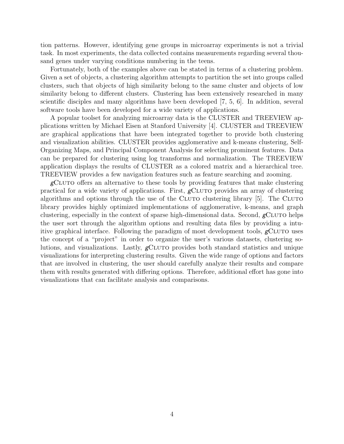tion patterns. However, identifying gene groups in microarray experiments is not a trivial task. In most experiments, the data collected contains measurements regarding several thousand genes under varying conditions numbering in the teens.

Fortunately, both of the examples above can be stated in terms of a clustering problem. Given a set of objects, a clustering algorithm attempts to partition the set into groups called clusters, such that objects of high similarity belong to the same cluster and objects of low similarity belong to different clusters. Clustering has been extensively researched in many scientific disciples and many algorithms have been developed [7, 5, 6]. In addition, several software tools have been developed for a wide variety of applications.

A popular toolset for analyzing microarray data is the CLUSTER and TREEVIEW applications written by Michael Eisen at Stanford University [4]. CLUSTER and TREEVIEW are graphical applications that have been integrated together to provide both clustering and visualization abilities. CLUSTER provides agglomerative and k-means clustering, Self-Organizing Maps, and Principal Component Analysis for selecting prominent features. Data can be prepared for clustering using log transforms and normalization. The TREEVIEW application displays the results of CLUSTER as a colored matrix and a hierarchical tree. TREEVIEW provides a few navigation features such as feature searching and zooming.

 $g$ CLUTO offers an alternative to these tools by providing features that make clustering practical for a wide variety of applications. First,  $g$ CLUTO provides an array of clustering algorithms and options through the use of the CLUTO clustering library  $[5]$ . The CLUTO library provides highly optimized implementations of agglomerative, k-means, and graph clustering, especially in the context of sparse high-dimensional data. Second,  $g$ CLUTO helps the user sort through the algorithm options and resulting data files by providing a intuitive graphical interface. Following the paradigm of most development tools,  $g$ CLUTO uses the concept of a "project" in order to organize the user's various datasets, clustering solutions, and visualizations. Lastly,  $g$ CLUTO provides both standard statistics and unique visualizations for interpreting clustering results. Given the wide range of options and factors that are involved in clustering, the user should carefully analyze their results and compare them with results generated with differing options. Therefore, additional effort has gone into visualizations that can facilitate analysis and comparisons.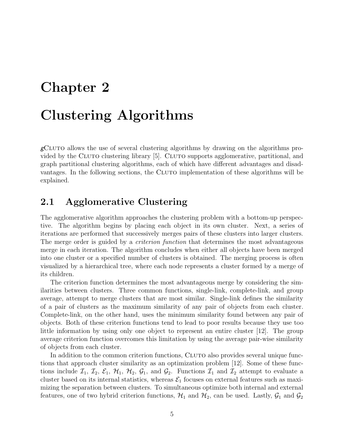# Chapter 2

# Clustering Algorithms

 $g$ CLUTO allows the use of several clustering algorithms by drawing on the algorithms provided by the CLUTO clustering library [5]. CLUTO supports agglomerative, partitional, and graph partitional clustering algorithms, each of which have different advantages and disadvantages. In the following sections, the CLUTO implementation of these algorithms will be explained.

# 2.1 Agglomerative Clustering

The agglomerative algorithm approaches the clustering problem with a bottom-up perspective. The algorithm begins by placing each object in its own cluster. Next, a series of iterations are performed that successively merges pairs of these clusters into larger clusters. The merge order is guided by a *criterion function* that determines the most advantageous merge in each iteration. The algorithm concludes when either all objects have been merged into one cluster or a specified number of clusters is obtained. The merging process is often visualized by a hierarchical tree, where each node represents a cluster formed by a merge of its children.

The criterion function determines the most advantageous merge by considering the similarities between clusters. Three common functions, single-link, complete-link, and group average, attempt to merge clusters that are most similar. Single-link defines the similarity of a pair of clusters as the maximum similarity of any pair of objects from each cluster. Complete-link, on the other hand, uses the minimum similarity found between any pair of objects. Both of these criterion functions tend to lead to poor results because they use too little information by using only one object to represent an entire cluster [12]. The group average criterion function overcomes this limitation by using the average pair-wise similarity of objects from each cluster.

In addition to the common criterion functions, CLUTO also provides several unique functions that approach cluster similarity as an optimization problem [12]. Some of these functions include  $\mathcal{I}_1$ ,  $\mathcal{I}_2$ ,  $\mathcal{E}_1$ ,  $\mathcal{H}_1$ ,  $\mathcal{H}_2$ ,  $\mathcal{G}_1$ , and  $\mathcal{G}_2$ . Functions  $\mathcal{I}_1$  and  $\mathcal{I}_2$  attempt to evaluate a cluster based on its internal statistics, whereas  $\mathcal{E}_1$  focuses on external features such as maximizing the separation between clusters. To simultaneous optimize both internal and external features, one of two hybrid criterion functions,  $\mathcal{H}_1$  and  $\mathcal{H}_2$ , can be used. Lastly,  $\mathcal{G}_1$  and  $\mathcal{G}_2$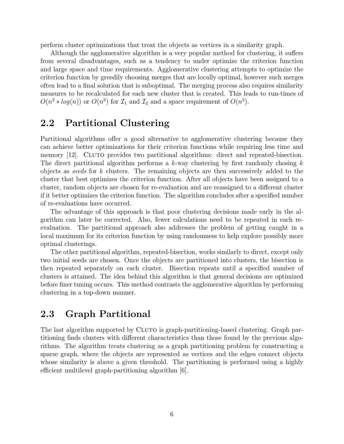perform cluster optimizations that treat the objects as vertices in a similarity graph.

Although the agglomerative algorithm is a very popular method for clustering, it suffers from several disadvantages, such as a tendency to under optimize the criterion function and large space and time requirements. Agglomerative clustering attempts to optimize the criterion function by greedily choosing merges that are locally optimal, however such merges often lead to a final solution that is suboptimal. The merging process also requires similarity measures to be recalculated for each new cluster that is created. This leads to run-times of  $O(n^2 * log(n))$  or  $O(n^3)$  for  $\mathcal{I}_1$  and  $\mathcal{I}_2$  and a space requirement of  $O(n^2)$ .

# 2.2 Partitional Clustering

Partitional algorithms offer a good alternative to agglomerative clustering because they can achieve better optimizations for their criterion functions while requiring less time and memory [12]. CLUTO provides two partitional algorithms: direct and repeated-bisection. The direct partitional algorithm performs a  $k$ -way clustering by first randomly chosing  $k$ objects as seeds for k clusters. The remaining objects are then successively added to the cluster that best optimizes the criterion function. After all objects have been assigned to a cluster, random objects are chosen for re-evaluation and are reassigned to a different cluster if it better optimizes the criterion function. The algorithm concludes after a specified number of re-evaluations have occurred.

The advantage of this approach is that poor clustering decisions made early in the algorithm can later be corrected. Also, fewer calculations need to be repeated in each reevaluation. The partitional approach also addresses the problem of getting caught in a local maximum for its criterion function by using randomness to help explore possibly more optimal clusterings.

The other partitional algorithm, repeated-bisection, works similarly to direct, except only two initial seeds are chosen. Once the objects are partitioned into clusters, the bisection is then repeated separately on each cluster. Bisection repeats until a specified number of clusters is attained. The idea behind this algorithm is that general decisions are optimized before finer tuning occurs. This method contrasts the agglomerative algorithm by performing clustering in a top-down manner.

# 2.3 Graph Partitional

The last algorithm supported by CLUTO is graph-partitioning-based clustering. Graph partitioning finds clusters with different characteristics than those found by the previous algorithms. The algorithm treats clustering as a graph partitioning problem by constructing a sparse graph, where the objects are represented as vertices and the edges connect objects whose similarity is above a given threshold. The partitioning is performed using a highly efficient multilevel graph-partitioning algorithm [6].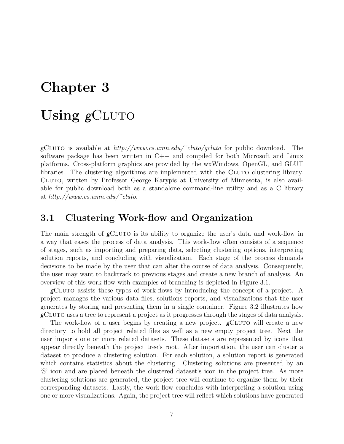# Chapter 3

# Using gCLUTO

gCLUTO is available at  $http://www.cs.umn.edu/~cluto/gcluto$  for public download. The software package has been written in  $C++$  and compiled for both Microsoft and Linux platforms. Cross-platform graphics are provided by the wxWindows, OpenGL, and GLUT libraries. The clustering algorithms are implemented with the CLUTO clustering library. Cluto, written by Professor George Karypis at University of Minnesota, is also available for public download both as a standalone command-line utility and as a C library at http://www.cs.umn.edu/˜cluto.

### 3.1 Clustering Work-flow and Organization

The main strength of  $\epsilon$ CLUTO is its ability to organize the user's data and work-flow in a way that eases the process of data analysis. This work-flow often consists of a sequence of stages, such as importing and preparing data, selecting clustering options, interpreting solution reports, and concluding with visualization. Each stage of the process demands decisions to be made by the user that can alter the course of data analysis. Consequently, the user may want to backtrack to previous stages and create a new branch of analysis. An overview of this work-flow with examples of branching is depicted in Figure 3.1.

 $g$ CLUTO assists these types of work-flows by introducing the concept of a project. A project manages the various data files, solutions reports, and visualizations that the user generates by storing and presenting them in a single container. Figure 3.2 illustrates how  $g$ CLUTO uses a tree to represent a project as it progresses through the stages of data analysis.

The work-flow of a user begins by creating a new project.  $g$ CLUTO will create a new directory to hold all project related files as well as a new empty project tree. Next the user imports one or more related datasets. These datasets are represented by icons that appear directly beneath the project tree's root. After importation, the user can cluster a dataset to produce a clustering solution. For each solution, a solution report is generated which contains statistics about the clustering. Clustering solutions are presented by an 'S' icon and are placed beneath the clustered dataset's icon in the project tree. As more clustering solutions are generated, the project tree will continue to organize them by their corresponding datasets. Lastly, the work-flow concludes with interpreting a solution using one or more visualizations. Again, the project tree will reflect which solutions have generated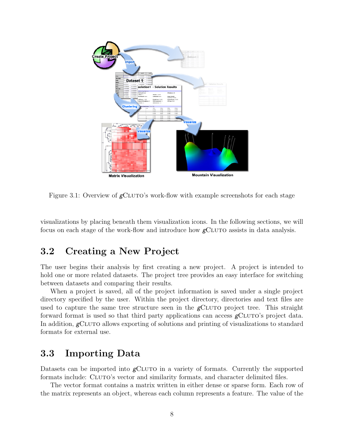

Figure 3.1: Overview of  $g$ CLUTO's work-flow with example screenshots for each stage

visualizations by placing beneath them visualization icons. In the following sections, we will focus on each stage of the work-flow and introduce how  $g$ CLUTO assists in data analysis.

# 3.2 Creating a New Project

The user begins their analysis by first creating a new project. A project is intended to hold one or more related datasets. The project tree provides an easy interface for switching between datasets and comparing their results.

When a project is saved, all of the project information is saved under a single project directory specified by the user. Within the project directory, directories and text files are used to capture the same tree structure seen in the  $g$ CLUTO project tree. This straight forward format is used so that third party applications can access  $\beta$ CLUTO's project data. In addition,  $\epsilon$ CLUTO allows exporting of solutions and printing of visualizations to standard formats for external use.

# 3.3 Importing Data

Datasets can be imported into  $\epsilon$ CLUTO in a variety of formats. Currently the supported formats include: CLUTO's vector and similarity formats, and character delimited files.

The vector format contains a matrix written in either dense or sparse form. Each row of the matrix represents an object, whereas each column represents a feature. The value of the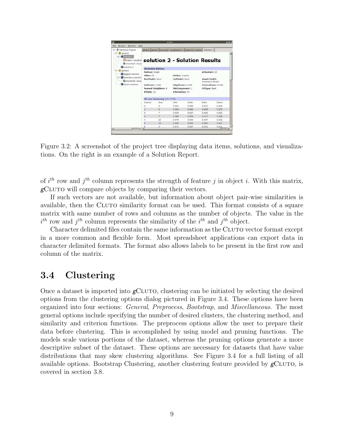| Project Solution Help<br>File                                        |                               | actute                        |                 |                                                                       |                                  |                    |  |  |  |  |
|----------------------------------------------------------------------|-------------------------------|-------------------------------|-----------------|-----------------------------------------------------------------------|----------------------------------|--------------------|--|--|--|--|
| Genetics Project<br>e                                                |                               |                               |                 | genes1 genes2 mountain visualization 1 bisection solution, solution 2 |                                  |                    |  |  |  |  |
| El Cl genes1<br>El Sonhaven<br>matrix visualiza<br>C mountain visual | solution 2 - Solution Results |                               |                 |                                                                       |                                  |                    |  |  |  |  |
| Si solution 2                                                        |                               | <b>Clustering Options</b>     |                 |                                                                       |                                  |                    |  |  |  |  |
| <b>C</b> denes2<br>agglom solution                                   | Mathod: Graph                 |                               | #Clusters: 10   |                                                                       |                                  |                    |  |  |  |  |
| <b>Gibisection</b> solution                                          | CRfun: 12                     |                               | Simfun: Cosine  |                                                                       |                                  |                    |  |  |  |  |
| Compuntain vissia                                                    | RowModel: None                |                               | ColModel: None  |                                                                       | Graph Model:<br>Asymetric-Direct |                    |  |  |  |  |
| direct solution                                                      | ColPrune: 1,000               |                               |                 | EdgePrune: 0.000                                                      |                                  | VertexPrune: 0.000 |  |  |  |  |
|                                                                      | Nearest Nieghbors: 4          |                               | MinComponent: 1 |                                                                       | <b>CSType: Best</b>              |                    |  |  |  |  |
|                                                                      | #Trials: 10                   |                               | #Iterations: 10 |                                                                       |                                  |                    |  |  |  |  |
|                                                                      |                               | 10-way clustering: [70 of 70] |                 |                                                                       |                                  |                    |  |  |  |  |
|                                                                      | Cluster                       | Sizia                         | ICim            | <b>ISday</b>                                                          | ESim                             | ESday              |  |  |  |  |
|                                                                      | o                             | s                             | 0.961           | 0.009                                                                 | 0.872                            | 0.034              |  |  |  |  |
|                                                                      | ï                             | 3 <sup>1</sup>                | 0.935           | 0.006                                                                 | 0.809                            | 0.075              |  |  |  |  |
|                                                                      | ö                             | Ÿ                             | 0.954           | 0.027                                                                 | 0.892                            | 0.035              |  |  |  |  |
|                                                                      | 3.                            | 7.                            | 0.985           | 0.003                                                                 | 0.917                            | 0.009              |  |  |  |  |
|                                                                      | à.                            | 10                            | 0.978           | 0.006                                                                 | 0.097                            | 0.012              |  |  |  |  |
|                                                                      |                               | 12                            | 0.952           | 0.024                                                                 | 0.880                            | 0.041              |  |  |  |  |
| $\left  \cdot \right $                                               | r                             | э                             | 0.971           | 0.007                                                                 | 0.901                            | 0.011              |  |  |  |  |

Figure 3.2: A screenshot of the project tree displaying data items, solutions, and visualizations. On the right is an example of a Solution Report.

of  $i^{th}$  row and  $j^{th}$  column represents the strength of feature j in object i. With this matrix,  $\epsilon$ CLUTO will compare objects by comparing their vectors.

If such vectors are not available, but information about object pair-wise similarities is available, then the CLUTO similarity format can be used. This format consists of a square matrix with same number of rows and columns as the number of objects. The value in the  $i^{th}$  row and  $j^{th}$  column represents the similarity of the  $i^{th}$  and  $j^{th}$  object.

Character delimited files contain the same information as the CLUTO vector format except in a more common and flexible form. Most spreadsheet applications can export data in character delimited formats. The format also allows labels to be present in the first row and column of the matrix.

# 3.4 Clustering

Once a dataset is imported into  $\epsilon$ CLUTO, clustering can be initiated by selecting the desired options from the clustering options dialog pictured in Figure 3.4. These options have been organized into four sections: General, Preprocess, Bootstrap, and Miscellaneous. The most general options include specifying the number of desired clusters, the clustering method, and similarity and criterion functions. The preprocess options allow the user to prepare their data before clustering. This is accomplished by using model and pruning functions. The models scale various portions of the dataset, whereas the pruning options generate a more descriptive subset of the dataset. These options are necessary for datasets that have value distributions that may skew clustering algorithms. See Figure 3.4 for a full listing of all available options. Bootstrap Clustering, another clustering feature provided by  $\epsilon$ CLUTO, is covered in section 3.8.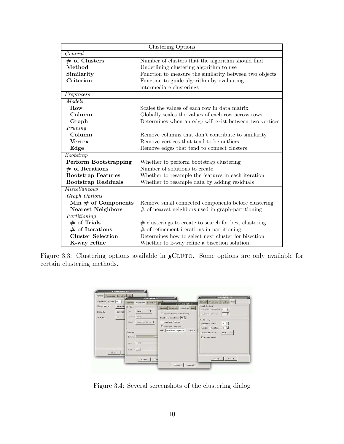| Clustering Options           |                                                         |  |  |  |  |  |
|------------------------------|---------------------------------------------------------|--|--|--|--|--|
| General                      |                                                         |  |  |  |  |  |
| $#$ of Clusters              | Number of clusters that the algorithm should find       |  |  |  |  |  |
| Method                       | Underlining clustering algorithm to use                 |  |  |  |  |  |
| Similarity                   | Function to measure the similarity between two objects  |  |  |  |  |  |
| Criterion                    | Function to guide algorithm by evaluating               |  |  |  |  |  |
|                              | intermediate clusterings                                |  |  |  |  |  |
| Preprocess                   |                                                         |  |  |  |  |  |
| Models                       |                                                         |  |  |  |  |  |
| Row                          | Scales the values of each row in data matrix            |  |  |  |  |  |
| Column                       | Globally scales the values of each row across rows      |  |  |  |  |  |
| Graph                        | Determines when an edge will exist between two vertices |  |  |  |  |  |
| Pruning                      |                                                         |  |  |  |  |  |
| Column                       | Remove columns that don't contribute to similarity      |  |  |  |  |  |
| <b>Vertex</b>                | Remove vertices that tend to be outliers                |  |  |  |  |  |
| Edge                         | Remove edges that tend to connect clusters              |  |  |  |  |  |
| Bootstrap                    |                                                         |  |  |  |  |  |
| <b>Perform Bootstrapping</b> | Whether to perform bootstrap clustering                 |  |  |  |  |  |
| $#$ of Iterations            | Number of solutions to create                           |  |  |  |  |  |
| <b>Bootstrap Features</b>    | Whether to resample the features in each iteration      |  |  |  |  |  |
| <b>Bootstrap Residuals</b>   | Whether to resample data by adding residuals            |  |  |  |  |  |
| Miscellaneous                |                                                         |  |  |  |  |  |
| Graph Options                |                                                         |  |  |  |  |  |
| Min $#$ of Components        | Remove small connected components before clustering     |  |  |  |  |  |
| <b>Nearest Neighbors</b>     | $#$ of nearest neighbors used in graph-partitioning     |  |  |  |  |  |
| Partitioning                 |                                                         |  |  |  |  |  |
| $#$ of Trials                | $#$ clusterings to create to search for best clustering |  |  |  |  |  |
| $#$ of Iterations            | $#$ of refinement iterations in partitioning            |  |  |  |  |  |
| <b>Cluster Selection</b>     | Determines how to select next cluster for bisection     |  |  |  |  |  |
| K-way refine                 | Whether to k-way refine a bisection solution            |  |  |  |  |  |

Figure 3.3: Clustering options available in  $g$ CLUTO. Some options are only available for certain clustering methods.

| General Preprocess Bootstrap Miss                                   |                                   |                                                                                             |                                                           | <b>Clustering Options</b>           | Ga                                                                                                                                                                                                                                   | <b>Clastering Options</b>                                                                                                                                                                                                                                           |
|---------------------------------------------------------------------|-----------------------------------|---------------------------------------------------------------------------------------------|-----------------------------------------------------------|-------------------------------------|--------------------------------------------------------------------------------------------------------------------------------------------------------------------------------------------------------------------------------------|---------------------------------------------------------------------------------------------------------------------------------------------------------------------------------------------------------------------------------------------------------------------|
| Humber of Clusters 10<br>Cluster Method<br>Similarity.<br>Criterion | E<br>Repeated<br>Correlatio<br>12 | Models<br>R <sub>0</sub><br>Celumn Barry<br>Wraish)<br>Pruning<br>Column'<br>Western Hought | Ganaral Proprocess<br><b>Rome</b><br>Naymetric print [ \$ | <b>Bootsbap</b><br>$\ddot{\bullet}$ | <b>Clustering Options</b><br>General Preprocess Beatstrap Misc.<br>Perform Bootstrep Clustering<br>Number of Iterations 40<br><b>Bootstrap Features</b><br>V Bootstrap Residuals<br>/mnVfiles/prejects/v<br>Filipi)<br><b>Bigvae</b> | General Resprocess Bootstrap, Misc.<br>Graph Options<br>Minimum Cemperant<br>ä<br><b>Heatart Heighboro</b><br>B<br><b>Partitioning</b><br><b>It</b><br>120<br>Humber of Trials<br>E<br>Humber of Iterations<br>10<br>Cluster Selection.<br>Hest.<br>E. K-Way Refine |
| Cluster                                                             |                                   | tone stands                                                                                 | Clueter                                                   | Cal                                 |                                                                                                                                                                                                                                      | Cancel<br>Cluster                                                                                                                                                                                                                                                   |

Figure 3.4: Several screenshots of the clustering dialog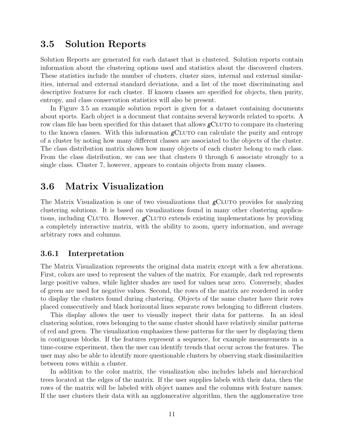### 3.5 Solution Reports

Solution Reports are generated for each dataset that is clustered. Solution reports contain information about the clustering options used and statistics about the discovered clusters. These statistics include the number of clusters, cluster sizes, internal and external similarities, internal and external standard deviations, and a list of the most discriminating and descriptive features for each cluster. If known classes are specified for objects, then purity, entropy, and class conservation statistics will also be present.

In Figure 3.5 an example solution report is given for a dataset containing documents about sports. Each object is a document that contains several keywords related to sports. A row class file has been specified for this dataset that allows  $gC_{\text{LUTO}}$  to compare its clustering to the known classes. With this information  $g$ CLUTO can calculate the purity and entropy of a cluster by noting how many different classes are associated to the objects of the cluster. The class distribution matrix shows how many objects of each cluster belong to each class. From the class distribution, we can see that clusters 0 through 6 associate strongly to a single class. Cluster 7, however, appears to contain objects from many classes.

### 3.6 Matrix Visualization

The Matrix Visualization is one of two visualizations that  $g$ CLUTO provides for analyzing clustering solutions. It is based on visualizations found in many other clustering applications, including CLUTO. However,  $g$ CLUTO extends existing implementations by providing a completely interactive matrix, with the ability to zoom, query information, and average arbitrary rows and columns.

#### 3.6.1 Interpretation

The Matrix Visualization represents the original data matrix except with a few alterations. First, colors are used to represent the values of the matrix. For example, dark red represents large positive values, while lighter shades are used for values near zero. Conversely, shades of green are used for negative values. Second, the rows of the matrix are reordered in order to display the clusters found during clustering. Objects of the same cluster have their rows placed consecutively and black horizontal lines separate rows belonging to different clusters.

This display allows the user to visually inspect their data for patterns. In an ideal clustering solution, rows belonging to the same cluster should have relatively similar patterns of red and green. The visualization emphasizes these patterns for the user by displaying them in contiguous blocks. If the features represent a sequence, for example measurements in a time-course experiment, then the user can identify trends that occur across the features. The user may also be able to identify more questionable clusters by observing stark dissimilarities between rows within a cluster.

In addition to the color matrix, the visualization also includes labels and hierarchical trees located at the edges of the matrix. If the user supplies labels with their data, then the rows of the matrix will be labeled with object names and the columns with feature names. If the user clusters their data with an agglomerative algorithm, then the agglomerative tree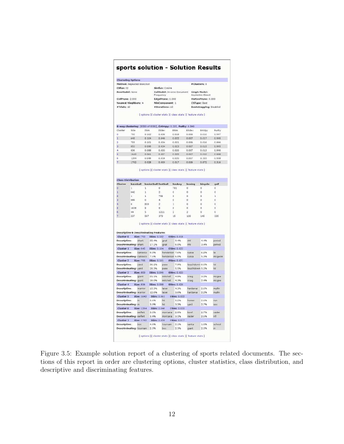#### sports solution - Solution Results

|                           |                                                                 |                                         |                      | Simfun: Cosine                                               |                     |                                         |                         |                     |               |  |
|---------------------------|-----------------------------------------------------------------|-----------------------------------------|----------------------|--------------------------------------------------------------|---------------------|-----------------------------------------|-------------------------|---------------------|---------------|--|
| RowModel: Nane            |                                                                 | ColModel: Inverse Document<br>Frequency |                      |                                                              |                     | <b>Graph Model:</b><br>Asymetric-Direct |                         |                     |               |  |
| ColPrune: 2.000           |                                                                 |                                         | EdgePrune: 0.000     |                                                              |                     |                                         | VertexPrune: 0.000      |                     |               |  |
|                           | Nearest Nieghbors: 4                                            |                                         |                      | MinComponent: 1                                              |                     |                                         |                         | <b>CSType: Best</b> |               |  |
| #Trlals: 10               |                                                                 |                                         |                      | #Iterations: 10                                              |                     |                                         |                         |                     |               |  |
|                           |                                                                 |                                         |                      |                                                              |                     |                                         | Bootstrapping: Disabled |                     |               |  |
|                           |                                                                 |                                         |                      | [ options ][ cluster stats ][ class stats ][ feature stats ] |                     |                                         |                         |                     |               |  |
|                           | 8-way clustering: [8580 of 8580], Entropy: 0.205, Purity: 0.849 |                                         |                      |                                                              |                     |                                         |                         |                     |               |  |
| Cluster                   | Size                                                            | ISim                                    |                      | ISdev                                                        | ESim                | ESdev                                   |                         | Entroy              | Punty         |  |
| ö                         | 703                                                             | 0.102                                   |                      | 0.036                                                        | 0.018               | 0.006                                   |                         | 0.010               | 0.997         |  |
| h                         | 645                                                             | 0.104                                   |                      | 0.040                                                        | 0.022               | 0.007                                   |                         | 0.017               | 0.995         |  |
| þ                         | 755                                                             | 0.101                                   |                      | 0.034                                                        | 0.021               | 0:006                                   |                         | 0.016               | 0.996         |  |
| ā                         | <b>RE3</b>                                                      | 0.096                                   |                      | 0.034                                                        | 0.023               | 0.007                                   |                         | 0.015               | 0.995         |  |
| 4                         | 836                                                             | 0.088                                   |                      | 0.033                                                        | 0.020               | 0.007                                   |                         | 0.013               | 0.996         |  |
| s                         | 1642                                                            | 0.061                                   |                      | 0.027                                                        | 0.022               | 0.007                                   |                         | 0.010               | 0.998         |  |
| ó                         | 1264                                                            | 0.046                                   |                      | 0.016                                                        | 0.020               | 0.007                                   |                         | 0.103               | 0.958         |  |
| σ                         | 1792                                                            | 0.028                                   |                      | 0.009                                                        | 0.017               | 0.006                                   |                         | 0.872               | 0.316         |  |
|                           |                                                                 |                                         |                      |                                                              |                     |                                         |                         |                     |               |  |
|                           |                                                                 |                                         |                      | [ options ][ cluster stats ][ class stats ][ feature stats ] |                     |                                         |                         |                     |               |  |
|                           |                                                                 |                                         |                      |                                                              |                     |                                         |                         |                     |               |  |
| <b>Class Distribution</b> |                                                                 |                                         |                      |                                                              |                     |                                         |                         |                     |               |  |
| Cluster                   | baseball                                                        |                                         | basketball football  |                                                              | hockey              | boxing                                  |                         | bicycle             | golf          |  |
| 'n                        | ï                                                               | 1                                       | ó                    |                                                              | 791                 | ö                                       |                         | $\overline{a}$      | ó             |  |
| 1                         | 642                                                             | $\mathbf{1}$                            | $\bar{z}$            |                                                              | Ō                   | O                                       |                         | ō                   | ō             |  |
| ۵                         | i.                                                              | 1                                       |                      | 752                                                          | ö                   | ó                                       |                         | $\alpha$            | 1             |  |
| ä                         | 849                                                             | ö                                       | 4                    |                                                              | ö                   | o                                       |                         | ō                   | ö             |  |
| 4                         | O.                                                              | 833                                     | ゥ                    |                                                              | 1                   | o                                       |                         | $\alpha$            | $\alpha$      |  |
| 5                         | 1638                                                            | ä                                       | ž                    |                                                              | ö                   | ö                                       |                         | $\circ$             | ö             |  |
| 6                         | 44                                                              | š                                       |                      | 1211                                                         | $\overline{2}$      | $\overline{c}$                          |                         | $\theta$            | Ö             |  |
| ä                         | 237                                                             | 567                                     |                      |                                                              |                     |                                         |                         | 145                 | 335           |  |
|                           |                                                                 |                                         |                      | 373                                                          | 15                  | 120                                     |                         |                     |               |  |
|                           | <b>Descriptive &amp; Descriminating Features</b>                |                                         |                      | [ options ][ cluster stats ][ class stats ][ feature stats ] |                     |                                         |                         |                     |               |  |
| <b>Cluster 0</b>          | <b>Size: 793</b>                                                |                                         | ISim: 0.102          |                                                              | ESim: 0.018         |                                         |                         |                     |               |  |
| Descriptive:              | shark                                                           |                                         | 22.4%                | goal                                                         | 0.496               | nhl                                     |                         | 4.4%                | period        |  |
|                           | Descriminating: shark                                           |                                         | 17.1%                | goat                                                         | 6.0%                | nhl                                     |                         | 3.4%                | period        |  |
| Cluster <sub>1</sub>      | <b>Size: 645</b>                                                |                                         | ISim: 0.104          |                                                              | ESim: 0.022         |                                         |                         |                     |               |  |
| Descriptive:              | canseco                                                         |                                         | 9.0%                 | henderson 7.6%                                               |                     | russa                                   |                         | 6.2%                | là            |  |
|                           | Descriminating: canseco                                         |                                         | 7.6%                 | henderson 6,0%                                               |                     | russa                                   |                         | 5.3%                |               |  |
| Cluster <sub>2</sub>      | <b>Size: 755</b>                                                |                                         | ISim: 0.101          |                                                              | <b>ESim: 0.021</b>  |                                         |                         |                     |               |  |
| Descriptive:              | vard                                                            |                                         | 36.1%                | pass                                                         | 7.9%                | touchdown 6.6%                          |                         |                     | td            |  |
|                           | <b>Descriminating: yard</b>                                     |                                         | 58.3%                | pass                                                         | 5.52                | touchdown 5.2%                          |                         |                     | td            |  |
|                           |                                                                 |                                         |                      |                                                              |                     |                                         |                         |                     |               |  |
| Cluster <sub>3</sub>      | Size: 853                                                       |                                         | 18im: 0.096<br>21.1% | mitchall                                                     | ESim: 0.023<br>4.9% |                                         |                         | 3.2%                |               |  |
| Descriptive:              | giant                                                           |                                         | 16.0%                | mitchiell                                                    | 4.3%                | craig                                   |                         |                     | mcgee         |  |
|                           | Descriminating: giant                                           |                                         |                      |                                                              |                     | craig                                   |                         | 2.4%                | mcgee         |  |
| Cluster 4                 | Size: 836                                                       |                                         | ISim: 0.088          |                                                              | ESim: 0.020         |                                         |                         |                     | mcgwire.      |  |
| Descriptive:              | warrior                                                         |                                         | 15.3%                | laker                                                        | 4.3%                | hardawai                                |                         | 2.6%                | multin        |  |
|                           | <b>Descriminating: warrior</b>                                  |                                         | 12.6%                | laker                                                        | 3.6%                | hardawai                                |                         | 2.2%                | mullin        |  |
| <b>Cluster 5</b>          | Size: 1542                                                      |                                         | ISim: 0.061          |                                                              | ESim: 0.022         |                                         |                         |                     |               |  |
| Descriptive:              | in                                                              |                                         | 5.6%                 | hit                                                          | 5.2%                | homer                                   |                         | 2.6%                | run           |  |
| <b>Descriminating:</b> in |                                                                 |                                         | 3.0%                 | <b>Fuit</b>                                                  | 2.396               | vard                                    |                         | 2.7%                | sox           |  |
| Cluster 6                 | Size: 1264                                                      |                                         | ISim: 0.046          |                                                              | ESIm: 0.020         |                                         |                         |                     |               |  |
| Descriptive:              | seifert                                                         |                                         | 3.0%                 | montana                                                      | 2.0%                | bowl                                    |                         | 2.7%                | raider        |  |
|                           | Descriminating: seifert                                         |                                         | 3.4%                 | montana                                                      | 3.1%                | raider                                  |                         | 2.6%                | nfl           |  |
| Cluster 7                 | <b>Size: 1792</b>                                               |                                         | ISim: 0.028          |                                                              | ESim: 0.017         |                                         |                         |                     |               |  |
| Descriptive:              | box<br><b>Descriminating: tournam</b>                           |                                         | 4.6%<br>2.3%         | tournam<br>box.                                              | 2.1%<br>2.3%        | santa<br>giant                          |                         | 1.6%<br>2.0%        | school<br>in. |  |

Figure 3.5: Example solution report of a clustering of sports related documents. The sections of this report in order are clustering options, cluster statistics, class distribution, and descriptive and discriminating features.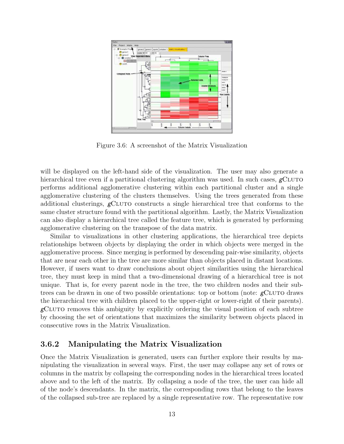

Figure 3.6: A screenshot of the Matrix Visualization

will be displayed on the left-hand side of the visualization. The user may also generate a hierarchical tree even if a partitional clustering algorithm was used. In such cases,  $g$ CLUTO performs additional agglomerative clustering within each partitional cluster and a single agglomerative clustering of the clusters themselves. Using the trees generated from these additional clusterings, gCluto constructs a single hierarchical tree that conforms to the same cluster structure found with the partitional algorithm. Lastly, the Matrix Visualization can also display a hierarchical tree called the feature tree, which is generated by performing agglomerative clustering on the transpose of the data matrix.

Similar to visualizations in other clustering applications, the hierarchical tree depicts relationships between objects by displaying the order in which objects were merged in the agglomerative process. Since merging is performed by descending pair-wise similarity, objects that are near each other in the tree are more similar than objects placed in distant locations. However, if users want to draw conclusions about object similarities using the hierarchical tree, they must keep in mind that a two-dimensional drawing of a hierarchical tree is not unique. That is, for every parent node in the tree, the two children nodes and their subtrees can be drawn in one of two possible orientations: top or bottom (note:  $g$ CLUTO draws the hierarchical tree with children placed to the upper-right or lower-right of their parents).  $g$ CLUTO removes this ambiguity by explicitly ordering the visual position of each subtree by choosing the set of orientations that maximizes the similarity between objects placed in consecutive rows in the Matrix Visualization.

#### 3.6.2 Manipulating the Matrix Visualization

Once the Matrix Visualization is generated, users can further explore their results by manipulating the visualization in several ways. First, the user may collapse any set of rows or columns in the matrix by collapsing the corresponding nodes in the hierarchical trees located above and to the left of the matrix. By collapsing a node of the tree, the user can hide all of the node's descendants. In the matrix, the corresponding rows that belong to the leaves of the collapsed sub-tree are replaced by a single representative row. The representative row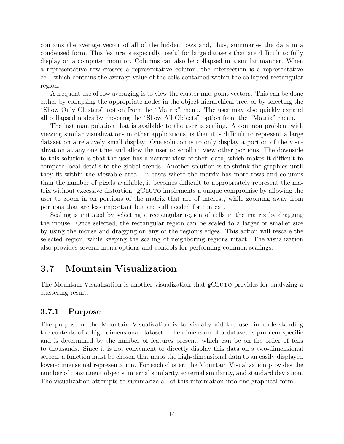contains the average vector of all of the hidden rows and, thus, summaries the data in a condensed form. This feature is especially useful for large datasets that are difficult to fully display on a computer monitor. Columns can also be collapsed in a similar manner. When a representative row crosses a representative column, the intersection is a representative cell, which contains the average value of the cells contained within the collapsed rectangular region.

A frequent use of row averaging is to view the cluster mid-point vectors. This can be done either by collapsing the appropriate nodes in the object hierarchical tree, or by selecting the "Show Only Clusters" option from the "Matrix" menu. The user may also quickly expand all collapsed nodes by choosing the "Show All Objects" option from the "Matrix" menu.

The last manipulation that is available to the user is scaling. A common problem with viewing similar visualizations in other applications, is that it is difficult to represent a large dataset on a relatively small display. One solution is to only display a portion of the visualization at any one time and allow the user to scroll to view other portions. The downside to this solution is that the user has a narrow view of their data, which makes it difficult to compare local details to the global trends. Another solution is to shrink the graphics until they fit within the viewable area. In cases where the matrix has more rows and columns than the number of pixels available, it becomes difficult to appropriately represent the matrix without excessive distortion.  $g$ CLUTO implements a unique compromise by allowing the user to zoom in on portions of the matrix that are of interest, while zooming away from portions that are less important but are still needed for context.

Scaling is initiated by selecting a rectangular region of cells in the matrix by dragging the mouse. Once selected, the rectangular region can be scaled to a larger or smaller size by using the mouse and dragging on any of the region's edges. This action will rescale the selected region, while keeping the scaling of neighboring regions intact. The visualization also provides several menu options and controls for performing common scalings.

# 3.7 Mountain Visualization

The Mountain Visualization is another visualization that  $g$ CLUTO provides for analyzing a clustering result.

#### 3.7.1 Purpose

The purpose of the Mountain Visualization is to visually aid the user in understanding the contents of a high-dimensional dataset. The dimension of a dataset is problem specific and is determined by the number of features present, which can be on the order of tens to thousands. Since it is not convenient to directly display this data on a two-dimensional screen, a function must be chosen that maps the high-dimensional data to an easily displayed lower-dimensional representation. For each cluster, the Mountain Visualization provides the number of constituent objects, internal similarity, external similarity, and standard deviation. The visualization attempts to summarize all of this information into one graphical form.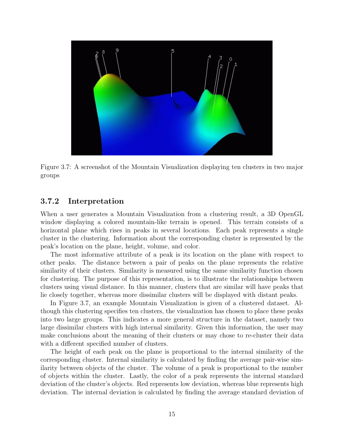

Figure 3.7: A screenshot of the Mountain Visualization displaying ten clusters in two major groups

#### 3.7.2 Interpretation

When a user generates a Mountain Visualization from a clustering result, a 3D OpenGL window displaying a colored mountain-like terrain is opened. This terrain consists of a horizontal plane which rises in peaks in several locations. Each peak represents a single cluster in the clustering. Information about the corresponding cluster is represented by the peak's location on the plane, height, volume, and color.

The most informative attribute of a peak is its location on the plane with respect to other peaks. The distance between a pair of peaks on the plane represents the relative similarity of their clusters. Similarity is measured using the same similarity function chosen for clustering. The purpose of this representation, is to illustrate the relationships between clusters using visual distance. In this manner, clusters that are similar will have peaks that lie closely together, whereas more dissimilar clusters will be displayed with distant peaks.

In Figure 3.7, an example Mountain Visualization is given of a clustered dataset. Although this clustering specifies ten clusters, the visualization has chosen to place these peaks into two large groups. This indicates a more general structure in the dataset, namely two large dissimilar clusters with high internal similarity. Given this information, the user may make conclusions about the meaning of their clusters or may chose to re-cluster their data with a different specified number of clusters.

The height of each peak on the plane is proportional to the internal similarity of the corresponding cluster. Internal similarity is calculated by finding the average pair-wise similarity between objects of the cluster. The volume of a peak is proportional to the number of objects within the cluster. Lastly, the color of a peak represents the internal standard deviation of the cluster's objects. Red represents low deviation, whereas blue represents high deviation. The internal deviation is calculated by finding the average standard deviation of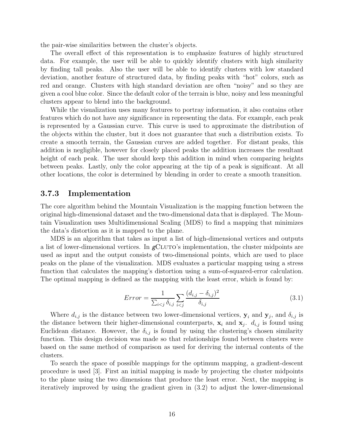the pair-wise similarities between the cluster's objects.

The overall effect of this representation is to emphasize features of highly structured data. For example, the user will be able to quickly identify clusters with high similarity by finding tall peaks. Also the user will be able to identify clusters with low standard deviation, another feature of structured data, by finding peaks with "hot" colors, such as red and orange. Clusters with high standard deviation are often "noisy" and so they are given a cool blue color. Since the default color of the terrain is blue, noisy and less meaningful clusters appear to blend into the background.

While the visualization uses many features to portray information, it also contains other features which do not have any significance in representing the data. For example, each peak is represented by a Gaussian curve. This curve is used to approximate the distribution of the objects within the cluster, but it does not guarantee that such a distribution exists. To create a smooth terrain, the Gaussian curves are added together. For distant peaks, this addition is negligible, however for closely placed peaks the addition increases the resultant height of each peak. The user should keep this addition in mind when comparing heights between peaks. Lastly, only the color appearing at the tip of a peak is significant. At all other locations, the color is determined by blending in order to create a smooth transition.

#### 3.7.3 Implementation

The core algorithm behind the Mountain Visualization is the mapping function between the original high-dimensional dataset and the two-dimensional data that is displayed. The Mountain Visualization uses Multidimensional Scaling (MDS) to find a mapping that minimizes the data's distortion as it is mapped to the plane.

MDS is an algorithm that takes as input a list of high-dimensional vertices and outputs a list of lower-dimensional vertices. In  $g$ CLUTO's implementation, the cluster midpoints are used as input and the output consists of two-dimensional points, which are used to place peaks on the plane of the visualization. MDS evaluates a particular mapping using a stress function that calculates the mapping's distortion using a sum-of-squared-error calculation. The optimal mapping is defined as the mapping with the least error, which is found by:

$$
Error = \frac{1}{\sum_{i < j} \delta_{i,j}} \sum_{i < j} \frac{(d_{i,j} - \delta_{i,j})^2}{\delta_{i,j}} \tag{3.1}
$$

Where  $d_{i,j}$  is the distance between two lower-dimensional vertices,  $y_i$  and  $y_j$ , and  $\delta_{i,j}$  is the distance between their higher-dimensional counterparts,  $x_i$  and  $x_j$ .  $d_{i,j}$  is found using Euclidean distance. However, the  $\delta_{i,j}$  is found by using the clustering's chosen similarity function. This design decision was made so that relationships found between clusters were based on the same method of comparison as used for deriving the internal contents of the clusters.

To search the space of possible mappings for the optimum mapping, a gradient-descent procedure is used [3]. First an initial mapping is made by projecting the cluster midpoints to the plane using the two dimensions that produce the least error. Next, the mapping is iteratively improved by using the gradient given in (3.2) to adjust the lower-dimensional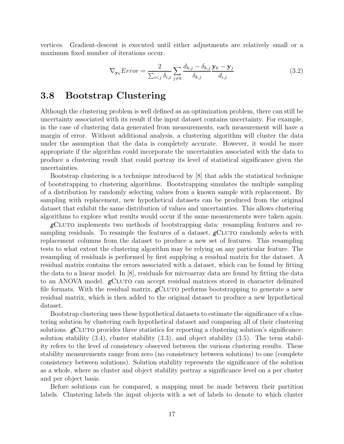vertices. Gradient-descent is executed until either adjustments are relatively small or a maximum fixed number of iterations occur.

$$
\nabla_{\mathbf{y}_k} Error = \frac{2}{\sum_{i < j} \delta_{i,j}} \sum_{j \neq k} \frac{d_{k,j} - \delta_{k,j}}{\delta_{k,j}} \frac{\mathbf{y}_k - \mathbf{y}_j}{d_{i,j}} \tag{3.2}
$$

### 3.8 Bootstrap Clustering

Although the clustering problem is well defined as an optimization problem, there can still be uncertainty associated with its result if the input dataset contains uncertainty. For example, in the case of clustering data generated from measurements, each measurement will have a margin of error. Without additional analysis, a clustering algorithm will cluster the data under the assumption that the data is completely accurate. However, it would be more appropriate if the algorithm could incorporate the uncertainties associated with the data to produce a clustering result that could portray its level of statistical significance given the uncertainties.

Bootstrap clustering is a technique introduced by [8] that adds the statistical technique of bootstrapping to clustering algorithms. Bootstrapping simulates the multiple sampling of a distribution by randomly selecting values from a known sample with replacement. By sampling with replacement, new hypothetical datasets can be produced from the original dataset that exhibit the same distribution of values and uncertainties. This allows clustering algorithms to explore what results would occur if the same measurements were taken again.

gCluto implements two methods of bootstrapping data: resampling features and resampling residuals. To resample the features of a dataset,  $g$ CLUTO randomly selects with replacement columns from the dataset to produce a new set of features. This resampling tests to what extent the clustering algorithm may be relying on any particular feature. The resampling of residuals is performed by first supplying a residual matrix for the dataset. A residual matrix contains the errors associated with a dataset, which can be found by fitting the data to a linear model. In [8], residuals for microarray data are found by fitting the data to an ANOVA model. gCLUTO can accept residual matrices stored in character delimited file formats. With the residual matrix,  $g$ CLUTO performs bootstrapping to generate a new residual matrix, which is then added to the original dataset to produce a new hypothetical dataset.

Bootstrap clustering uses these hypothetical datasets to estimate the significance of a clustering solution by clustering each hypothetical dataset and comparing all of their clustering solutions.  $g$ CLUTO provides three statistics for reporting a clustering solution's significance: solution stability  $(3.4)$ , cluster stability  $(3.3)$ , and object stability  $(3.5)$ . The term stability refers to the level of consistency observed between the various clustering results. These stability measurements range from zero (no consistency between solutions) to one (complete consistency between solutions). Solution stability represents the significance of the solution as a whole, where as cluster and object stability portray a significance level on a per cluster and per object basis.

Before solutions can be compared, a mapping must be made between their partition labels. Clustering labels the input objects with a set of labels to denote to which cluster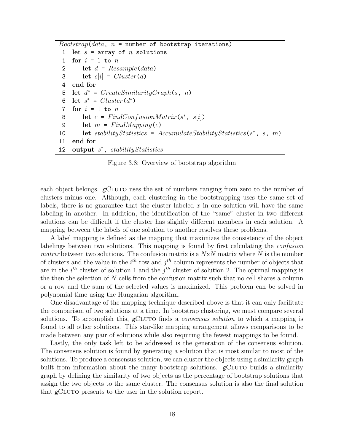```
Boostrap(data, n = number of bootstrap iterations)1 let s = \arctan \theta n solutions
1 for i = 1 to n2 let d = Resample(data)3 let s[i] = Cluster(d)4 end for
 5 let d^* = CreateSimilarityGraph(s, n)
 6 let s^* = Cluster(d^*)7 for i = 1 to n8 let c = FindConfusionMatrix(s^*, s[i])9 let m = FindMapping(c)10 let stabilityStatistics = AccumulateStabilityStatistics(s*, s, m)
11 end for
12 output s^*, stabilityStatistics
```
Figure 3.8: Overview of bootstrap algorithm

each object belongs.  $g$ CLUTO uses the set of numbers ranging from zero to the number of clusters minus one. Although, each clustering in the bootstrapping uses the same set of labels, there is no guarantee that the cluster labeled  $x$  in one solution will have the same labeling in another. In addition, the identification of the "same" cluster in two different solutions can be difficult if the cluster has slightly different members in each solution. A mapping between the labels of one solution to another resolves these problems.

A label mapping is defined as the mapping that maximizes the consistency of the object labelings between two solutions. This mapping is found by first calculating the confusion *matrix* between two solutions. The confusion matrix is a  $NxN$  matrix where N is the number of clusters and the value in the  $i<sup>th</sup>$  row and  $j<sup>th</sup>$  column represents the number of objects that are in the  $i<sup>th</sup>$  cluster of solution 1 and the  $j<sup>th</sup>$  cluster of solution 2. The optimal mapping is the then the selection of  $N$  cells from the confusion matrix such that no cell shares a column or a row and the sum of the selected values is maximized. This problem can be solved in polynomial time using the Hungarian algorithm.

One disadvantage of the mapping technique described above is that it can only facilitate the comparison of two solutions at a time. In bootstrap clustering, we must compare several solutions. To accomplish this,  $g$ CLUTO finds a *consensus solution* to which a mapping is found to all other solutions. This star-like mapping arrangement allows comparisons to be made between any pair of solutions while also requiring the fewest mappings to be found.

Lastly, the only task left to be addressed is the generation of the consensus solution. The consensus solution is found by generating a solution that is most similar to most of the solutions. To produce a consensus solution, we can cluster the objects using a similarity graph built from information about the many bootstrap solutions.  $g$ CLUTO builds a similarity graph by defining the similarity of two objects as the percentage of bootstrap solutions that assign the two objects to the same cluster. The consensus solution is also the final solution that gCLUTO presents to the user in the solution report.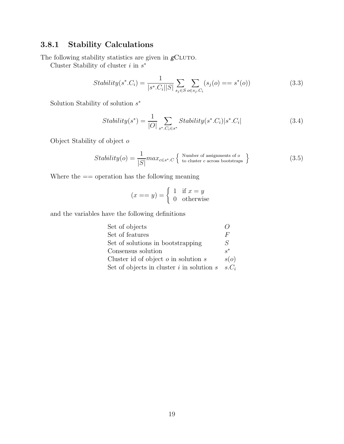# 3.8.1 Stability Calculations

The following stability statistics are given in  $g\mathrm{C}$ 

Cluster Stability of cluster  $i$  in  $s^*$ 

Stability
$$
(s^* . C_i) = \frac{1}{|s^* . C_i||S|} \sum_{s_j \in S} \sum_{o \in s_j . C_i} (s_j(o) == s^*(o))
$$
 (3.3)

Solution Stability of solution s ∗

Stability
$$
(s^*) = \frac{1}{|O|} \sum_{s^*.C_i \in s^*} Stability(s^*.C_i) |s^*.C_i|
$$
 (3.4)

Object Stability of object o

Stability(o) = 
$$
\frac{1}{|S|} max_{c \in s^*.C} \left\{ \begin{array}{c} \text{Number of assignments of } o \\ \text{to cluster } c \text{ across bootstraps} \end{array} \right\} \tag{3.5}
$$

Where the == operation has the following meaning

$$
(x == y) = \begin{cases} 1 & \text{if } x = y \\ 0 & \text{otherwise} \end{cases}
$$

and the variables have the following definitions

| Set of objects                                |                |
|-----------------------------------------------|----------------|
| Set of features                               | F              |
| Set of solutions in bootstrapping             | S              |
| Consensus solution                            | $\mathbf{e}^*$ |
| Cluster id of object $o$ in solution $s$      | s(o)           |
| Set of objects in cluster $i$ in solution $s$ | $s.C_i$        |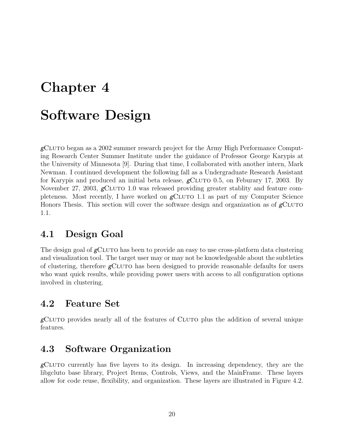# Chapter 4

# Software Design

 $g$ CLUTO began as a 2002 summer research project for the Army High Performance Computing Research Center Summer Institute under the guidance of Professor George Karypis at the University of Minnesota [9]. During that time, I collaborated with another intern, Mark Newman. I continued development the following fall as a Undergraduate Research Assistant for Karypis and produced an initial beta release,  $g$ CLUTO 0.5, on Feburary 17, 2003. By November 27, 2003,  $g$ CLUTO 1.0 was released providing greater stablity and feature completeness. Most recently, I have worked on  $g$ CLUTO 1.1 as part of my Computer Science Honors Thesis. This section will cover the software design and organization as of  $g$ CLUTO 1.1.

# 4.1 Design Goal

The design goal of  $g$ CLUTO has been to provide an easy to use cross-platform data clustering and visualization tool. The target user may or may not be knowledgeable about the subtleties of clustering, therefore  $g$ CLUTO has been designed to provide reasonable defaults for users who want quick results, while providing power users with access to all configuration options involved in clustering.

# 4.2 Feature Set

 $g$ CLUTO provides nearly all of the features of CLUTO plus the addition of several unique features.

# 4.3 Software Organization

 $g$ CLUTO currently has five layers to its design. In increasing dependency, they are the libgcluto base library, Project Items, Controls, Views, and the MainFrame. These layers allow for code reuse, flexibility, and organization. These layers are illustrated in Figure 4.2.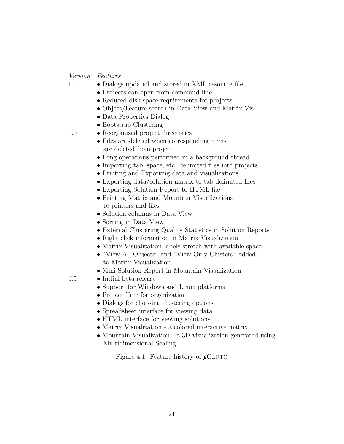#### Version Features

- 1.1 Dialogs updated and stored in XML resource file
	- Projects can open from command-line
	- Reduced disk space requirements for projects
	- Object/Feature search in Data View and Matrix Vis
	- Data Properties Dialog
	- Bootstrap Clustering
- 1.0 Reorganized project directories
	- Files are deleted when corresponding items are deleted from project
	- Long operations performed in a background thread
	- Importing tab, space, etc. delimited files into projects
	- Printing and Exporting data and visualizations
	- Exporting data/solution matrix to tab delimited files
	- Exporting Solution Report to HTML file
	- Printing Matrix and Mountain Visualizations to printers and files
	- Solution columns in Data View
	- Sorting in Data View
	- External Clustering Quality Statistics in Solution Reports
	- Right click information in Matrix Visualization
	- Matrix Visualization labels stretch with available space
	- "View All Objects" and "View Only Clusters" added to Matrix Visualization
	- Mini-Solution Report in Mountain Visualization
- 0.5 Initial beta release
	- Support for Windows and Linux platforms
	- Project Tree for organization
	- Dialogs for choosing clustering options
	- Spreadsheet interface for viewing data
	- HTML interface for viewing solutions
	- Matrix Visualization a colored interactive matrix
	- Mountain Visualization a 3D visualization generated using Multidimensional Scaling.

Figure 4.1: Feature history of  $g$ CLUTO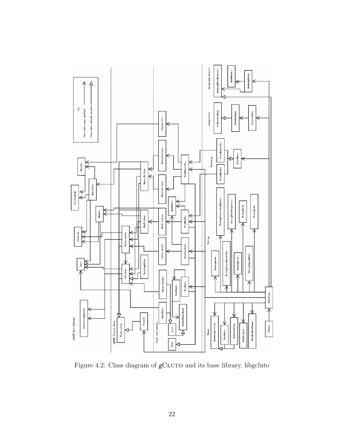

Figure 4.2: Class diagram of  $g$ CLUTO and its base library, libgcluto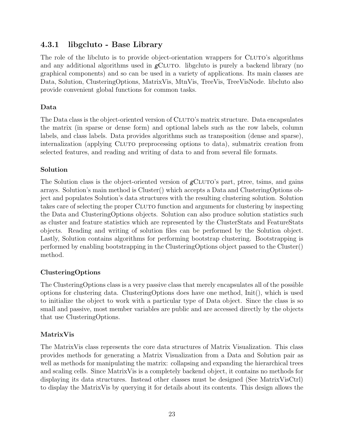# 4.3.1 libgcluto - Base Library

The role of the libcluto is to provide object-orientation wrappers for CLUTO's algorithms and any additional algorithms used in  $g$ CLUTO. libgcluto is purely a backend library (no graphical components) and so can be used in a variety of applications. Its main classes are Data, Solution, ClusteringOptions, MatrixVis, MtnVis, TreeVis, TreeVisNode. libcluto also provide convenient global functions for common tasks.

#### Data

The Data class is the object-oriented version of CLUTO's matrix structure. Data encapsulates the matrix (in sparse or dense form) and optional labels such as the row labels, column labels, and class labels. Data provides algorithms such as transposition (dense and sparse), internalization (applying Cluto preprocessing options to data), submatrix creation from selected features, and reading and writing of data to and from several file formats.

#### Solution

The Solution class is the object-oriented version of  $g$ CLUTO's part, ptree, tsims, and gains arrays. Solution's main method is Cluster() which accepts a Data and ClusteringOptions object and populates Solution's data structures with the resulting clustering solution. Solution takes care of selecting the proper Cluto function and arguments for clustering by inspecting the Data and ClusteringOptions objects. Solution can also produce solution statistics such as cluster and feature statistics which are represented by the ClusterStats and FeatureStats objects. Reading and writing of solution files can be performed by the Solution object. Lastly, Solution contains algorithms for performing bootstrap clustering. Bootstrapping is performed by enabling bootstrapping in the ClusteringOptions object passed to the Cluster() method.

### ClusteringOptions

The ClusteringOptions class is a very passive class that merely encapsulates all of the possible options for clustering data. ClusteringOptions does have one method, Init(), which is used to initialize the object to work with a particular type of Data object. Since the class is so small and passive, most member variables are public and are accessed directly by the objects that use ClusteringOptions.

#### MatrixVis

The MatrixVis class represents the core data structures of Matrix Visualization. This class provides methods for generating a Matrix Visualization from a Data and Solution pair as well as methods for manipulating the matrix: collapsing and expanding the hierarchical trees and scaling cells. Since MatrixVis is a completely backend object, it contains no methods for displaying its data structures. Instead other classes must be designed (See MatrixVisCtrl) to display the MatrixVis by querying it for details about its contents. This design allows the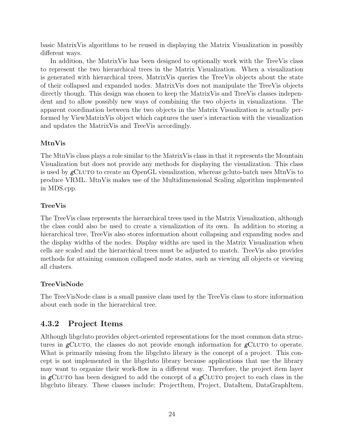basic MatrixVis algorithms to be reused in displaying the Matrix Visualization in possibly different ways.

In addition, the MatrixVis has been designed to optionally work with the TreeVis class to represent the two hierarchical trees in the Matrix Visualization. When a visualization is generated with hierarchical trees, MatrixVis queries the TreeVis objects about the state of their collapsed and expanded nodes. MatrixVis does not manipulate the TreeVis objects directly though. This design was chosen to keep the MatrixVis and TreeVis classes independent and to allow possibly new ways of combining the two objects in visualizations. The apparent coordination between the two objects in the Matrix Visualization is actually performed by ViewMatrixVis object which captures the user's interaction with the visualization and updates the MatrixVis and TreeVis accordingly.

#### MtnVis

The MtnVis class plays a role similar to the MatrixVis class in that it represents the Mountain Visualization but does not provide any methods for displaying the visualization. This class is used by  $g$ CLUTO to create an OpenGL visualization, whereas gcluto-batch uses MtnVis to produce VRML. MtnVis makes use of the Multidimensional Scaling algorithm implemented in MDS.cpp.

#### TreeVis

The TreeVis class represents the hierarchical trees used in the Matrix Visualization, although the class could also be used to create a visualization of its own. In addition to storing a hierarchical tree, TreeVis also stores information about collapsing and expanding nodes and the display widths of the nodes. Display widths are used in the Matrix Visualization when cells are scaled and the hierarchical trees must be adjusted to match. TreeVis also provides methods for attaining common collapsed node states, such as viewing all objects or viewing all clusters.

#### TreeVisNode

The TreeVisNode class is a small passive class used by the TreeVis class to store information about each node in the hierarchical tree.

### 4.3.2 Project Items

Although libgcluto provides object-oriented representations for the most common data structures in  $g$ CLUTO, the classes do not provide enough information for  $g$ CLUTO to operate. What is primarily missing from the libgcluto library is the concept of a project. This concept is not implemented in the libgcluto library because applications that use the library may want to organize their work-flow in a different way. Therefore, the project item layer in gCLUTO has been designed to add the concept of a gCLUTO project to each class in the libgcluto library. These classes include: ProjectItem, Project, DataItem, DataGraphItem,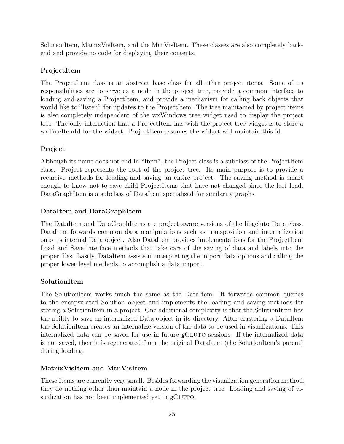SolutionItem, MatrixVisItem, and the MtnVisItem. These classes are also completely backend and provide no code for displaying their contents.

### ProjectItem

The ProjectItem class is an abstract base class for all other project items. Some of its responsibilities are to serve as a node in the project tree, provide a common interface to loading and saving a ProjectItem, and provide a mechanism for calling back objects that would like to "listen" for updates to the ProjectItem. The tree maintained by project items is also completely independent of the wxWindows tree widget used to display the project tree. The only interaction that a ProjectItem has with the project tree widget is to store a wxTreeItemId for the widget. ProjectItem assumes the widget will maintain this id.

### Project

Although its name does not end in "Item", the Project class is a subclass of the ProjectItem class. Project represents the root of the project tree. Its main purpose is to provide a recursive methods for loading and saving an entire project. The saving method is smart enough to know not to save child ProjectItems that have not changed since the last load. DataGraphItem is a subclass of DataItem specialized for similarity graphs.

### DataItem and DataGraphItem

The DataItem and DataGraphItems are project aware versions of the libgcluto Data class. DataItem forwards common data manipulations such as transposition and internalization onto its internal Data object. Also DataItem provides implementations for the ProjectItem Load and Save interface methods that take care of the saving of data and labels into the proper files. Lastly, DataItem assists in interpreting the import data options and calling the proper lower level methods to accomplish a data import.

### SolutionItem

The SolutionItem works much the same as the DataItem. It forwards common queries to the encapsulated Solution object and implements the loading and saving methods for storing a SolutionItem in a project. One additional complexity is that the SolutionItem has the ability to save an internalized Data object in its directory. After clustering a DataItem the SolutionItem creates an internalize version of the data to be used in visualizations. This internalized data can be saved for use in future  $g$ CLUTO sessions. If the internalized data is not saved, then it is regenerated from the original DataItem (the SolutionItem's parent) during loading.

### MatrixVisItem and MtnVisItem

These Items are currently very small. Besides forwarding the visualization generation method, they do nothing other than maintain a node in the project tree. Loading and saving of visualization has not been implemented yet in  $g$ CLUTO.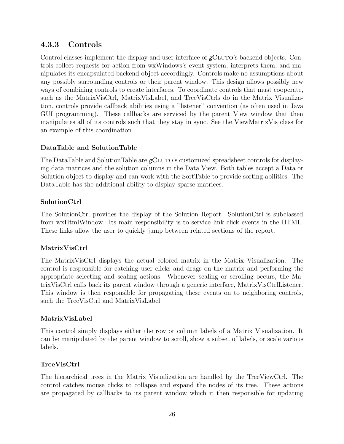# 4.3.3 Controls

Control classes implement the display and user interface of  $g$ CLUTO's backend objects. Controls collect requests for action from wxWindows's event system, interprets them, and manipulates its encapsulated backend object accordingly. Controls make no assumptions about any possibly surrounding controls or their parent window. This design allows possibly new ways of combining controls to create interfaces. To coordinate controls that must cooperate, such as the MatrixVisCtrl, MatrixVisLabel, and TreeVisCtrls do in the Matrix Visualization, controls provide callback abilities using a "listener" convention (as often used in Java GUI programming). These callbacks are serviced by the parent View window that then manipulates all of its controls such that they stay in sync. See the ViewMatrixVis class for an example of this coordination.

### DataTable and SolutionTable

The DataTable and SolutionTable are  $g$ CLUTO's customized spreadsheet controls for displaying data matrices and the solution columns in the Data View. Both tables accept a Data or Solution object to display and can work with the SortTable to provide sorting abilities. The DataTable has the additional ability to display sparse matrices.

#### SolutionCtrl

The SolutionCtrl provides the display of the Solution Report. SolutionCtrl is subclassed from wxHtmlWindow. Its main responsibility is to service link click events in the HTML. These links allow the user to quickly jump between related sections of the report.

### MatrixVisCtrl

The MatrixVisCtrl displays the actual colored matrix in the Matrix Visualization. The control is responsible for catching user clicks and drags on the matrix and performing the appropriate selecting and scaling actions. Whenever scaling or scrolling occurs, the MatrixVisCtrl calls back its parent window through a generic interface, MatrixVisCtrlListener. This window is then responsible for propagating these events on to neighboring controls, such the TreeVisCtrl and MatrixVisLabel.

#### MatrixVisLabel

This control simply displays either the row or column labels of a Matrix Visualization. It can be manipulated by the parent window to scroll, show a subset of labels, or scale various labels.

### TreeVisCtrl

The hierarchical trees in the Matrix Visualization are handled by the TreeViewCtrl. The control catches mouse clicks to collapse and expand the nodes of its tree. These actions are propagated by callbacks to its parent window which it then responsible for updating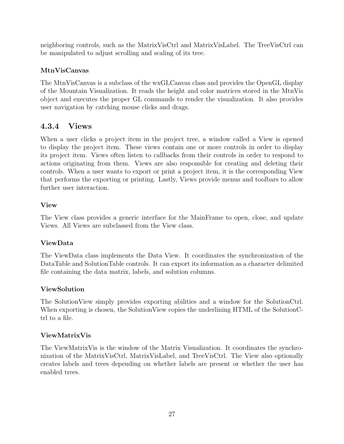neighboring controls, such as the MatrixVisCtrl and MatrixVisLabel. The TreeVisCtrl can be manipulated to adjust scrolling and scaling of its tree.

#### MtnVisCanvas

The MtnVisCanvas is a subclass of the wxGLCanvas class and provides the OpenGL display of the Mountain Visualization. It reads the height and color matrices stored in the MtnVis object and executes the proper GL commands to render the visualization. It also provides user navigation by catching mouse clicks and drags.

### 4.3.4 Views

When a user clicks a project item in the project tree, a window called a View is opened to display the project item. These views contain one or more controls in order to display its project item. Views often listen to callbacks from their controls in order to respond to actions originating from them. Views are also responsible for creating and deleting their controls. When a user wants to export or print a project item, it is the corresponding View that performs the exporting or printing. Lastly, Views provide menus and toolbars to allow further user interaction.

#### View

The View class provides a generic interface for the MainFrame to open, close, and update Views. All Views are subclassed from the View class.

#### ViewData

The ViewData class implements the Data View. It coordinates the synchronization of the DataTable and SolutionTable controls. It can export its information as a character delimited file containing the data matrix, labels, and solution columns.

#### ViewSolution

The SolutionView simply provides exporting abilities and a window for the SolutionCtrl. When exporting is chosen, the SolutionView copies the underlining HTML of the SolutionCtrl to a file.

#### ViewMatrixVis

The ViewMatrixVis is the window of the Matrix Visualization. It coordinates the synchronization of the MatrixVisCtrl, MatrixVisLabel, and TreeVisCtrl. The View also optionally creates labels and trees depending on whether labels are present or whether the user has enabled trees.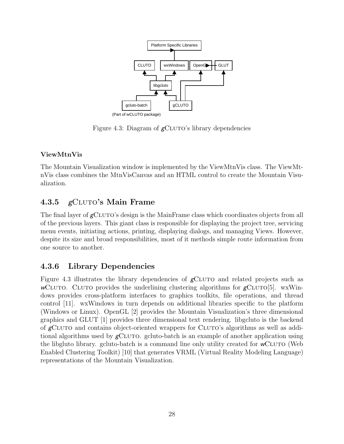

Figure 4.3: Diagram of  $g$ CLUTO's library dependencies

### ViewMtnVis

The Mountain Visualization window is implemented by the ViewMtnVis class. The ViewMtnVis class combines the MtnVisCanvas and an HTML control to create the Mountain Visualization.

# 4.3.5  $g$ CLUTO's Main Frame

The final layer of  $g$ CLUTO's design is the MainFrame class which coordinates objects from all of the previous layers. This giant class is responsible for displaying the project tree, servicing menu events, initiating actions, printing, displaying dialogs, and managing Views. However, despite its size and broad responsibilities, most of it methods simple route information from one source to another.

# 4.3.6 Library Dependencies

Figure 4.3 illustrates the library dependencies of  $\epsilon$ CLUTO and related projects such as wCLUTO. CLUTO provides the underlining clustering algorithms for  $g$ CLUTO[5]. wxWindows provides cross-platform interfaces to graphics toolkits, file operations, and thread control [11]. wxWindows in turn depends on additional libraries specific to the platform (Windows or Linux). OpenGL [2] provides the Mountain Visualization's three dimensional graphics and GLUT [1] provides three dimensional text rendering. libgcluto is the backend of gCLUTO and contains object-oriented wrappers for CLUTO's algorithms as well as additional algorithms used by  $g$ CLUTO. gcluto-batch is an example of another application using the libgluto library. gcluto-batch is a command line only utility created for  $\mathsf{wCLUTO}$  (Web Enabled Clustering Toolkit) [10] that generates VRML (Virtual Reality Modeling Language) representations of the Mountain Visualization.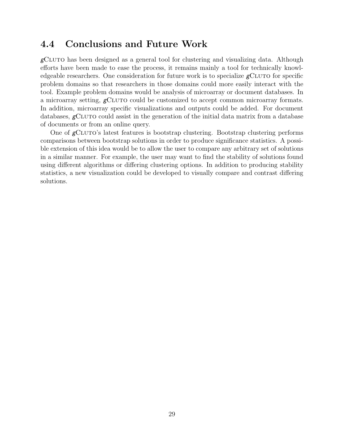# 4.4 Conclusions and Future Work

 $g$ CLUTO has been designed as a general tool for clustering and visualizing data. Although efforts have been made to ease the process, it remains mainly a tool for technically knowledgeable researchers. One consideration for future work is to specialize  $g$ CLUTO for specific problem domains so that researchers in those domains could more easily interact with the tool. Example problem domains would be analysis of microarray or document databases. In a microarray setting,  $\epsilon$ CLUTO could be customized to accept common microarray formats. In addition, microarray specific visualizations and outputs could be added. For document databases, gCLUTO could assist in the generation of the initial data matrix from a database of documents or from an online query.

One of  $\epsilon$ CLUTO's latest features is bootstrap clustering. Bootstrap clustering performs comparisons between bootstrap solutions in order to produce significance statistics. A possible extension of this idea would be to allow the user to compare any arbitrary set of solutions in a similar manner. For example, the user may want to find the stability of solutions found using different algorithms or differing clustering options. In addition to producing stability statistics, a new visualization could be developed to visually compare and contrast differing solutions.